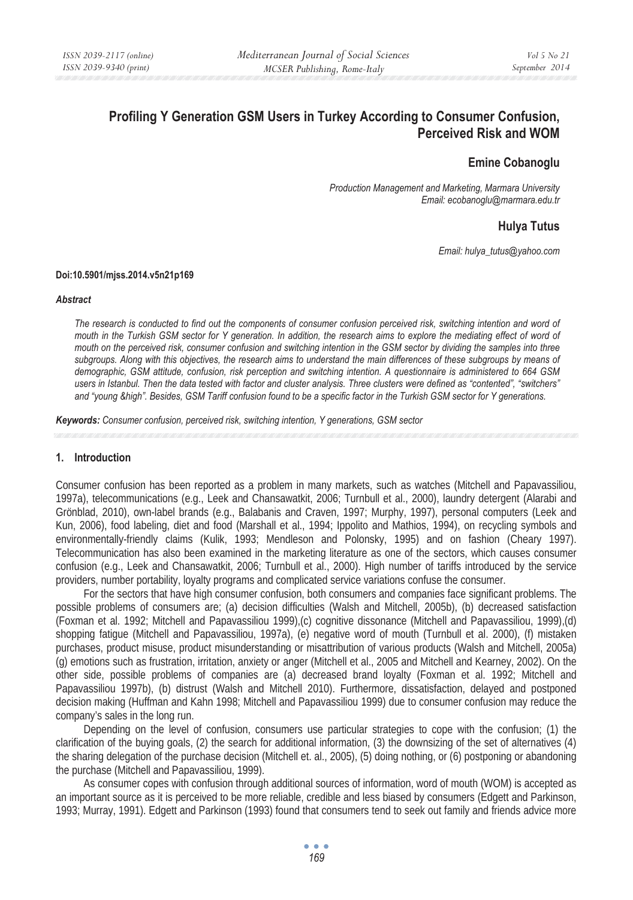# **Profiling Y Generation GSM Users in Turkey According to Consumer Confusion, Perceived Risk and WOM**

## **Emine Cobanoglu**

*Production Management and Marketing, Marmara University Email: ecobanoglu@marmara.edu.tr* 

## **Hulya Tutus**

*Email: hulya\_tutus@yahoo.com* 

#### **Doi:10.5901/mjss.2014.v5n21p169**

#### *Abstract*

*The research is conducted to find out the components of consumer confusion perceived risk, switching intention and word of mouth in the Turkish GSM sector for Y generation. In addition, the research aims to explore the mediating effect of word of mouth on the perceived risk, consumer confusion and switching intention in the GSM sector by dividing the samples into three*  subgroups. Along with this objectives, the research aims to understand the main differences of these subgroups by means of *demographic, GSM attitude, confusion, risk perception and switching intention. A questionnaire is administered to 664 GSM users in Istanbul. Then the data tested with factor and cluster analysis. Three clusters were defined as "contented", "switchers" and "young &high". Besides, GSM Tariff confusion found to be a specific factor in the Turkish GSM sector for Y generations.* 

*Keywords: Consumer confusion, perceived risk, switching intention, Y generations, GSM sector*

### **1. Introduction**

Consumer confusion has been reported as a problem in many markets, such as watches (Mitchell and Papavassiliou, 1997a), telecommunications (e.g., Leek and Chansawatkit, 2006; Turnbull et al., 2000), laundry detergent (Alarabi and Grönblad, 2010), own-label brands (e.g., Balabanis and Craven, 1997; Murphy, 1997), personal computers (Leek and Kun, 2006), food labeling, diet and food (Marshall et al., 1994; Ippolito and Mathios, 1994), on recycling symbols and environmentally-friendly claims (Kulik, 1993; Mendleson and Polonsky, 1995) and on fashion (Cheary 1997). Telecommunication has also been examined in the marketing literature as one of the sectors, which causes consumer confusion (e.g., Leek and Chansawatkit, 2006; Turnbull et al., 2000). High number of tariffs introduced by the service providers, number portability, loyalty programs and complicated service variations confuse the consumer.

For the sectors that have high consumer confusion, both consumers and companies face significant problems. The possible problems of consumers are; (a) decision difficulties (Walsh and Mitchell, 2005b), (b) decreased satisfaction (Foxman et al. 1992; Mitchell and Papavassiliou 1999),(c) cognitive dissonance (Mitchell and Papavassiliou, 1999),(d) shopping fatigue (Mitchell and Papavassiliou, 1997a), (e) negative word of mouth (Turnbull et al. 2000), (f) mistaken purchases, product misuse, product misunderstanding or misattribution of various products (Walsh and Mitchell, 2005a) (g) emotions such as frustration, irritation, anxiety or anger (Mitchell et al., 2005 and Mitchell and Kearney, 2002). On the other side, possible problems of companies are (a) decreased brand loyalty (Foxman et al. 1992; Mitchell and Papavassiliou 1997b), (b) distrust (Walsh and Mitchell 2010). Furthermore, dissatisfaction, delayed and postponed decision making (Huffman and Kahn 1998; Mitchell and Papavassiliou 1999) due to consumer confusion may reduce the company's sales in the long run.

Depending on the level of confusion, consumers use particular strategies to cope with the confusion; (1) the clarification of the buying goals, (2) the search for additional information, (3) the downsizing of the set of alternatives (4) the sharing delegation of the purchase decision (Mitchell et. al., 2005), (5) doing nothing, or (6) postponing or abandoning the purchase (Mitchell and Papavassiliou, 1999).

As consumer copes with confusion through additional sources of information, word of mouth (WOM) is accepted as an important source as it is perceived to be more reliable, credible and less biased by consumers (Edgett and Parkinson, 1993; Murray, 1991). Edgett and Parkinson (1993) found that consumers tend to seek out family and friends advice more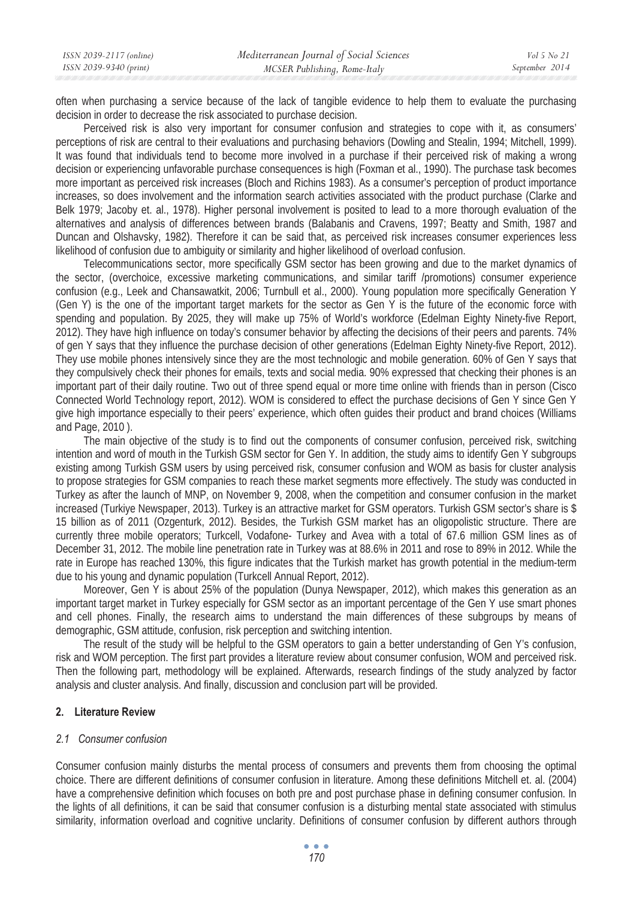| ISSN 2039-9340 (print) | ISSN 2039-2117 (online) | Mediterranean Journal of Social Sciences | Vol 5 No 21    |
|------------------------|-------------------------|------------------------------------------|----------------|
|                        |                         | MCSER Publishing, Rome-Italy             | September 2014 |

often when purchasing a service because of the lack of tangible evidence to help them to evaluate the purchasing decision in order to decrease the risk associated to purchase decision.

Perceived risk is also very important for consumer confusion and strategies to cope with it, as consumers' perceptions of risk are central to their evaluations and purchasing behaviors (Dowling and Stealin, 1994; Mitchell, 1999). It was found that individuals tend to become more involved in a purchase if their perceived risk of making a wrong decision or experiencing unfavorable purchase consequences is high (Foxman et al., 1990). The purchase task becomes more important as perceived risk increases (Bloch and Richins 1983). As a consumer's perception of product importance increases, so does involvement and the information search activities associated with the product purchase (Clarke and Belk 1979; Jacoby et. al., 1978). Higher personal involvement is posited to lead to a more thorough evaluation of the alternatives and analysis of differences between brands (Balabanis and Cravens, 1997; Beatty and Smith, 1987 and Duncan and Olshavsky, 1982). Therefore it can be said that, as perceived risk increases consumer experiences less likelihood of confusion due to ambiguity or similarity and higher likelihood of overload confusion.

Telecommunications sector, more specifically GSM sector has been growing and due to the market dynamics of the sector, (overchoice, excessive marketing communications, and similar tariff /promotions) consumer experience confusion (e.g., Leek and Chansawatkit, 2006; Turnbull et al., 2000). Young population more specifically Generation Y (Gen Y) is the one of the important target markets for the sector as Gen Y is the future of the economic force with spending and population. By 2025, they will make up 75% of World's workforce (Edelman Eighty Ninety-five Report, 2012). They have high influence on today's consumer behavior by affecting the decisions of their peers and parents. 74% of gen Y says that they influence the purchase decision of other generations (Edelman Eighty Ninety-five Report, 2012). They use mobile phones intensively since they are the most technologic and mobile generation. 60% of Gen Y says that they compulsively check their phones for emails, texts and social media. 90% expressed that checking their phones is an important part of their daily routine. Two out of three spend equal or more time online with friends than in person (Cisco Connected World Technology report, 2012). WOM is considered to effect the purchase decisions of Gen Y since Gen Y give high importance especially to their peers' experience, which often guides their product and brand choices (Williams and Page, 2010 ).

The main objective of the study is to find out the components of consumer confusion, perceived risk, switching intention and word of mouth in the Turkish GSM sector for Gen Y. In addition, the study aims to identify Gen Y subgroups existing among Turkish GSM users by using perceived risk, consumer confusion and WOM as basis for cluster analysis to propose strategies for GSM companies to reach these market segments more effectively. The study was conducted in Turkey as after the launch of MNP, on November 9, 2008, when the competition and consumer confusion in the market increased (Turkiye Newspaper, 2013). Turkey is an attractive market for GSM operators. Turkish GSM sector's share is \$ 15 billion as of 2011 (Ozgenturk, 2012). Besides, the Turkish GSM market has an oligopolistic structure. There are currently three mobile operators; Turkcell, Vodafone- Turkey and Avea with a total of 67.6 million GSM lines as of December 31, 2012. The mobile line penetration rate in Turkey was at 88.6% in 2011 and rose to 89% in 2012. While the rate in Europe has reached 130%, this figure indicates that the Turkish market has growth potential in the medium-term due to his young and dynamic population (Turkcell Annual Report, 2012).

Moreover, Gen Y is about 25% of the population (Dunya Newspaper, 2012), which makes this generation as an important target market in Turkey especially for GSM sector as an important percentage of the Gen Y use smart phones and cell phones. Finally, the research aims to understand the main differences of these subgroups by means of demographic, GSM attitude, confusion, risk perception and switching intention.

The result of the study will be helpful to the GSM operators to gain a better understanding of Gen Y's confusion, risk and WOM perception. The first part provides a literature review about consumer confusion, WOM and perceived risk. Then the following part, methodology will be explained. Afterwards, research findings of the study analyzed by factor analysis and cluster analysis. And finally, discussion and conclusion part will be provided.

### **2. Literature Review**

#### *2.1 Consumer confusion*

Consumer confusion mainly disturbs the mental process of consumers and prevents them from choosing the optimal choice. There are different definitions of consumer confusion in literature. Among these definitions Mitchell et. al. (2004) have a comprehensive definition which focuses on both pre and post purchase phase in defining consumer confusion. In the lights of all definitions, it can be said that consumer confusion is a disturbing mental state associated with stimulus similarity, information overload and cognitive unclarity. Definitions of consumer confusion by different authors through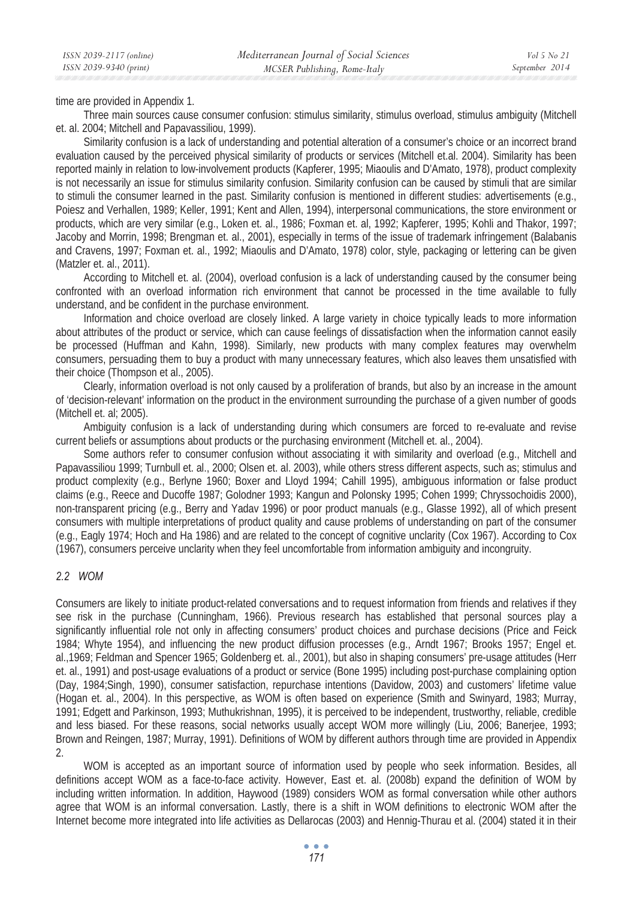time are provided in Appendix 1.

Three main sources cause consumer confusion: stimulus similarity, stimulus overload, stimulus ambiguity (Mitchell et. al. 2004; Mitchell and Papavassiliou, 1999).

Similarity confusion is a lack of understanding and potential alteration of a consumer's choice or an incorrect brand evaluation caused by the perceived physical similarity of products or services (Mitchell et.al. 2004). Similarity has been reported mainly in relation to low-involvement products (Kapferer, 1995; Miaoulis and D'Amato, 1978), product complexity is not necessarily an issue for stimulus similarity confusion. Similarity confusion can be caused by stimuli that are similar to stimuli the consumer learned in the past. Similarity confusion is mentioned in different studies: advertisements (e.g., Poiesz and Verhallen, 1989; Keller, 1991; Kent and Allen, 1994), interpersonal communications, the store environment or products, which are very similar (e.g., Loken et. al., 1986; Foxman et. al, 1992; Kapferer, 1995; Kohli and Thakor, 1997; Jacoby and Morrin, 1998; Brengman et. al., 2001), especially in terms of the issue of trademark infringement (Balabanis and Cravens, 1997; Foxman et. al., 1992; Miaoulis and D'Amato, 1978) color, style, packaging or lettering can be given (Matzler et. al., 2011).

According to Mitchell et. al. (2004), overload confusion is a lack of understanding caused by the consumer being confronted with an overload information rich environment that cannot be processed in the time available to fully understand, and be confident in the purchase environment.

Information and choice overload are closely linked. A large variety in choice typically leads to more information about attributes of the product or service, which can cause feelings of dissatisfaction when the information cannot easily be processed (Huffman and Kahn, 1998). Similarly, new products with many complex features may overwhelm consumers, persuading them to buy a product with many unnecessary features, which also leaves them unsatisfied with their choice (Thompson et al., 2005).

Clearly, information overload is not only caused by a proliferation of brands, but also by an increase in the amount of 'decision-relevant' information on the product in the environment surrounding the purchase of a given number of goods (Mitchell et. al; 2005).

Ambiguity confusion is a lack of understanding during which consumers are forced to re-evaluate and revise current beliefs or assumptions about products or the purchasing environment (Mitchell et. al., 2004).

Some authors refer to consumer confusion without associating it with similarity and overload (e.g., Mitchell and Papavassiliou 1999; Turnbull et. al., 2000; Olsen et. al. 2003), while others stress different aspects, such as; stimulus and product complexity (e.g., Berlyne 1960; Boxer and Lloyd 1994; Cahill 1995), ambiguous information or false product claims (e.g., Reece and Ducoffe 1987; Golodner 1993; Kangun and Polonsky 1995; Cohen 1999; Chryssochoidis 2000), non-transparent pricing (e.g., Berry and Yadav 1996) or poor product manuals (e.g., Glasse 1992), all of which present consumers with multiple interpretations of product quality and cause problems of understanding on part of the consumer (e.g., Eagly 1974; Hoch and Ha 1986) and are related to the concept of cognitive unclarity (Cox 1967). According to Cox (1967), consumers perceive unclarity when they feel uncomfortable from information ambiguity and incongruity.

### *2.2 WOM*

Consumers are likely to initiate product-related conversations and to request information from friends and relatives if they see risk in the purchase (Cunningham, 1966). Previous research has established that personal sources play a significantly influential role not only in affecting consumers' product choices and purchase decisions (Price and Feick 1984; Whyte 1954), and influencing the new product diffusion processes (e.g., Arndt 1967; Brooks 1957; Engel et. al.,1969; Feldman and Spencer 1965; Goldenberg et. al., 2001), but also in shaping consumers' pre-usage attitudes (Herr et. al., 1991) and post-usage evaluations of a product or service (Bone 1995) including post-purchase complaining option (Day, 1984;Singh, 1990), consumer satisfaction, repurchase intentions (Davidow, 2003) and customers' lifetime value (Hogan et. al., 2004). In this perspective, as WOM is often based on experience (Smith and Swinyard, 1983; Murray, 1991; Edgett and Parkinson, 1993; Muthukrishnan, 1995), it is perceived to be independent, trustworthy, reliable, credible and less biased. For these reasons, social networks usually accept WOM more willingly (Liu, 2006; Banerjee, 1993; Brown and Reingen, 1987; Murray, 1991). Definitions of WOM by different authors through time are provided in Appendix 2.

WOM is accepted as an important source of information used by people who seek information. Besides, all definitions accept WOM as a face-to-face activity. However, East et. al. (2008b) expand the definition of WOM by including written information. In addition, Haywood (1989) considers WOM as formal conversation while other authors agree that WOM is an informal conversation. Lastly, there is a shift in WOM definitions to electronic WOM after the Internet become more integrated into life activities as Dellarocas (2003) and Hennig-Thurau et al. (2004) stated it in their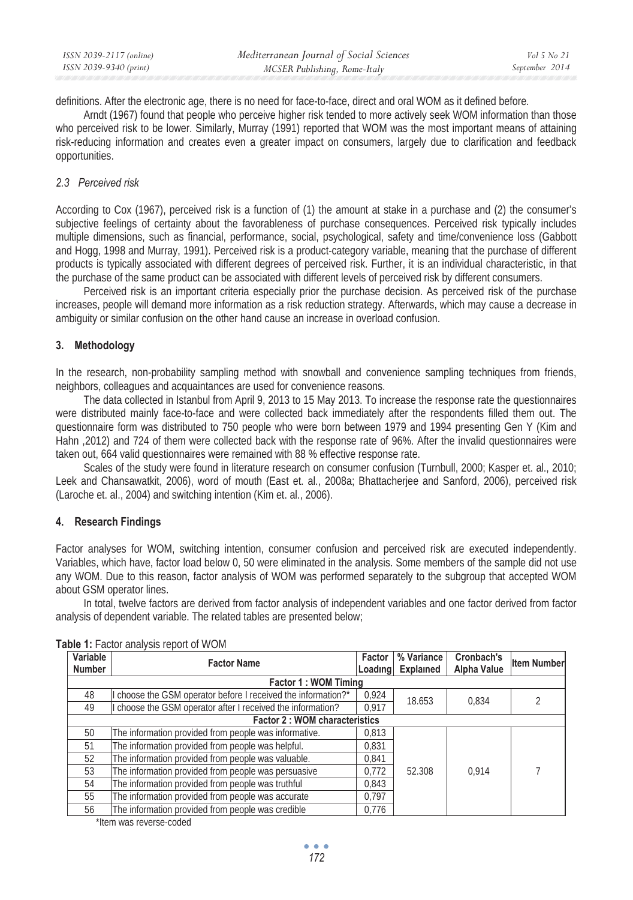definitions. After the electronic age, there is no need for face-to-face, direct and oral WOM as it defined before.

Arndt (1967) found that people who perceive higher risk tended to more actively seek WOM information than those who perceived risk to be lower. Similarly, Murray (1991) reported that WOM was the most important means of attaining risk-reducing information and creates even a greater impact on consumers, largely due to clarification and feedback opportunities.

### *2.3 Perceived risk*

According to Cox (1967), perceived risk is a function of (1) the amount at stake in a purchase and (2) the consumer's subjective feelings of certainty about the favorableness of purchase consequences. Perceived risk typically includes multiple dimensions, such as financial, performance, social, psychological, safety and time/convenience loss (Gabbott and Hogg, 1998 and Murray, 1991). Perceived risk is a product-category variable, meaning that the purchase of different products is typically associated with different degrees of perceived risk. Further, it is an individual characteristic, in that the purchase of the same product can be associated with different levels of perceived risk by different consumers.

Perceived risk is an important criteria especially prior the purchase decision. As perceived risk of the purchase increases, people will demand more information as a risk reduction strategy. Afterwards, which may cause a decrease in ambiguity or similar confusion on the other hand cause an increase in overload confusion.

## **3. Methodology**

In the research, non-probability sampling method with snowball and convenience sampling techniques from friends, neighbors, colleagues and acquaintances are used for convenience reasons.

The data collected in Istanbul from April 9, 2013 to 15 May 2013. To increase the response rate the questionnaires were distributed mainly face-to-face and were collected back immediately after the respondents filled them out. The questionnaire form was distributed to 750 people who were born between 1979 and 1994 presenting Gen Y (Kim and Hahn ,2012) and 724 of them were collected back with the response rate of 96%. After the invalid questionnaires were taken out, 664 valid questionnaires were remained with 88 % effective response rate.

Scales of the study were found in literature research on consumer confusion (Turnbull, 2000; Kasper et. al., 2010; Leek and Chansawatkit, 2006), word of mouth (East et. al., 2008a; Bhattacherjee and Sanford, 2006), perceived risk (Laroche et. al., 2004) and switching intention (Kim et. al., 2006).

## **4. Research Findings**

Factor analyses for WOM, switching intention, consumer confusion and perceived risk are executed independently. Variables, which have, factor load below 0, 50 were eliminated in the analysis. Some members of the sample did not use any WOM. Due to this reason, factor analysis of WOM was performed separately to the subgroup that accepted WOM about GSM operator lines.

In total, twelve factors are derived from factor analysis of independent variables and one factor derived from factor analysis of dependent variable. The related tables are presented below;

| Variable<br><b>Number</b> | <b>Factor Name</b>                                          |       | % Variance<br>Loading Explained | Cronbach's<br><b>Alpha Value</b> | <b>Item Numberl</b> |
|---------------------------|-------------------------------------------------------------|-------|---------------------------------|----------------------------------|---------------------|
|                           | Factor 1 : WOM Timing                                       |       |                                 |                                  |                     |
| 48                        | choose the GSM operator before I received the information?* | 0,924 | 18.653                          | 0.834                            |                     |
| 49                        | I choose the GSM operator after I received the information? | 0.917 |                                 |                                  |                     |
|                           | <b>Factor 2: WOM characteristics</b>                        |       |                                 |                                  |                     |
| 50                        | The information provided from people was informative.       | 0.813 |                                 |                                  |                     |
| 51                        | The information provided from people was helpful.           | 0,831 |                                 |                                  |                     |
| 52                        | The information provided from people was valuable.          | 0.841 |                                 |                                  |                     |
| 53                        | The information provided from people was persuasive         | 0.772 | 52.308                          | 0.914                            |                     |
| 54                        | The information provided from people was truthful           | 0.843 |                                 |                                  |                     |
| 55                        | The information provided from people was accurate           | 0.797 |                                 |                                  |                     |
| 56                        | The information provided from people was credible           | 0.776 |                                 |                                  |                     |

**Table 1:** Factor analysis report of WOM

\*Item was reverse-coded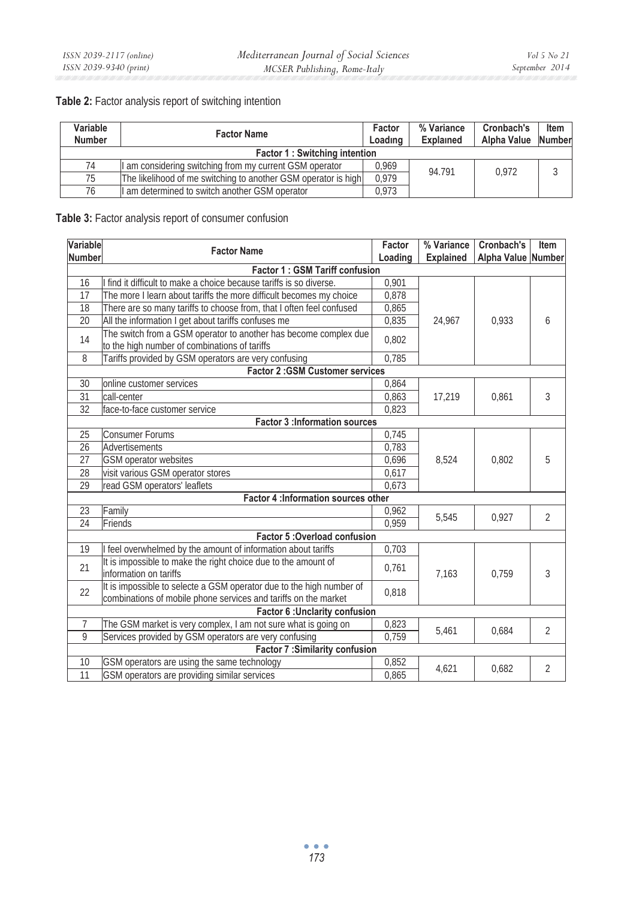# **Table 2:** Factor analysis report of switching intention

| Variable<br><b>Number</b> | <b>Factor Name</b>                                             | Factor<br>Loading | % Variance<br><b>Explained</b> | Cronbach's<br>Alpha Value | Item<br>Number |
|---------------------------|----------------------------------------------------------------|-------------------|--------------------------------|---------------------------|----------------|
|                           | <b>Factor 1: Switching intention</b>                           |                   |                                |                           |                |
| 74                        | I am considering switching from my current GSM operator        | 0.969             | 94.791                         | 0.972                     |                |
| 75                        | The likelihood of me switching to another GSM operator is high | 0,979             |                                |                           |                |
| 76                        | I am determined to switch another GSM operator                 | 0.973             |                                |                           |                |

# **Table 3:** Factor analysis report of consumer confusion

| Variable                             | <b>Factor Name</b>                                                                                                                      | Factor  | % Variance       | Cronbach's         | <b>Item</b>    |  |  |  |
|--------------------------------------|-----------------------------------------------------------------------------------------------------------------------------------------|---------|------------------|--------------------|----------------|--|--|--|
| <b>Number</b>                        |                                                                                                                                         | Loading | <b>Explained</b> | Alpha Value Number |                |  |  |  |
|                                      | <b>Factor 1: GSM Tariff confusion</b>                                                                                                   |         |                  |                    |                |  |  |  |
| 16                                   | I find it difficult to make a choice because tariffs is so diverse.                                                                     | 0,901   |                  |                    |                |  |  |  |
| 17                                   | The more I learn about tariffs the more difficult becomes my choice                                                                     | 0.878   |                  |                    |                |  |  |  |
| 18                                   | There are so many tariffs to choose from, that I often feel confused                                                                    | 0,865   |                  |                    |                |  |  |  |
| 20                                   | All the information I get about tariffs confuses me                                                                                     | 0,835   | 24,967           | 0,933              | 6              |  |  |  |
| 14                                   | The switch from a GSM operator to another has become complex due<br>to the high number of combinations of tariffs                       | 0,802   |                  |                    |                |  |  |  |
| 8                                    | Tariffs provided by GSM operators are very confusing                                                                                    | 0,785   |                  |                    |                |  |  |  |
|                                      | <b>Factor 2:GSM Customer services</b>                                                                                                   |         |                  |                    |                |  |  |  |
| 30                                   | online customer services                                                                                                                | 0,864   |                  |                    |                |  |  |  |
| 31                                   | call-center                                                                                                                             | 0,863   | 17,219           | 0.861              | 3              |  |  |  |
| 32                                   | face-to-face customer service                                                                                                           | 0.823   |                  |                    |                |  |  |  |
|                                      | <b>Factor 3 : Information sources</b>                                                                                                   |         |                  |                    |                |  |  |  |
| 25                                   | <b>Consumer Forums</b>                                                                                                                  | 0,745   |                  |                    |                |  |  |  |
| 26                                   | <b>Advertisements</b>                                                                                                                   | 0,783   |                  |                    |                |  |  |  |
| 27                                   | GSM operator websites                                                                                                                   | 0.696   | 8,524            | 0.802              | 5              |  |  |  |
| 28                                   | visit various GSM operator stores                                                                                                       | 0,617   |                  |                    |                |  |  |  |
| 29                                   | read GSM operators' leaflets                                                                                                            | 0,673   |                  |                    |                |  |  |  |
|                                      | Factor 4 : Information sources other                                                                                                    |         |                  |                    |                |  |  |  |
| 23                                   | Family                                                                                                                                  | 0,962   | 5,545            | 0,927              | $\overline{2}$ |  |  |  |
| 24                                   | Friends                                                                                                                                 | 0.959   |                  |                    |                |  |  |  |
|                                      | Factor 5: Overload confusion                                                                                                            |         |                  |                    |                |  |  |  |
| 19                                   | I feel overwhelmed by the amount of information about tariffs                                                                           | 0,703   |                  |                    |                |  |  |  |
| 21                                   | It is impossible to make the right choice due to the amount of<br>information on tariffs                                                | 0,761   | 7,163            | 0.759              | 3              |  |  |  |
| 22                                   | It is impossible to selecte a GSM operator due to the high number of<br>combinations of mobile phone services and tariffs on the market | 0,818   |                  |                    |                |  |  |  |
| <b>Factor 6: Unclarity confusion</b> |                                                                                                                                         |         |                  |                    |                |  |  |  |
| $\overline{7}$                       | The GSM market is very complex, I am not sure what is going on                                                                          | 0,823   | 5,461            | 0.684              | $\overline{2}$ |  |  |  |
| 9                                    | Services provided by GSM operators are very confusing                                                                                   | 0.759   |                  |                    |                |  |  |  |
|                                      | <b>Factor 7:Similarity confusion</b>                                                                                                    |         |                  |                    |                |  |  |  |
| 10                                   | GSM operators are using the same technology                                                                                             | 0,852   | 4,621            | 0.682              | $\overline{2}$ |  |  |  |
| 11                                   | GSM operators are providing similar services                                                                                            | 0.865   |                  |                    |                |  |  |  |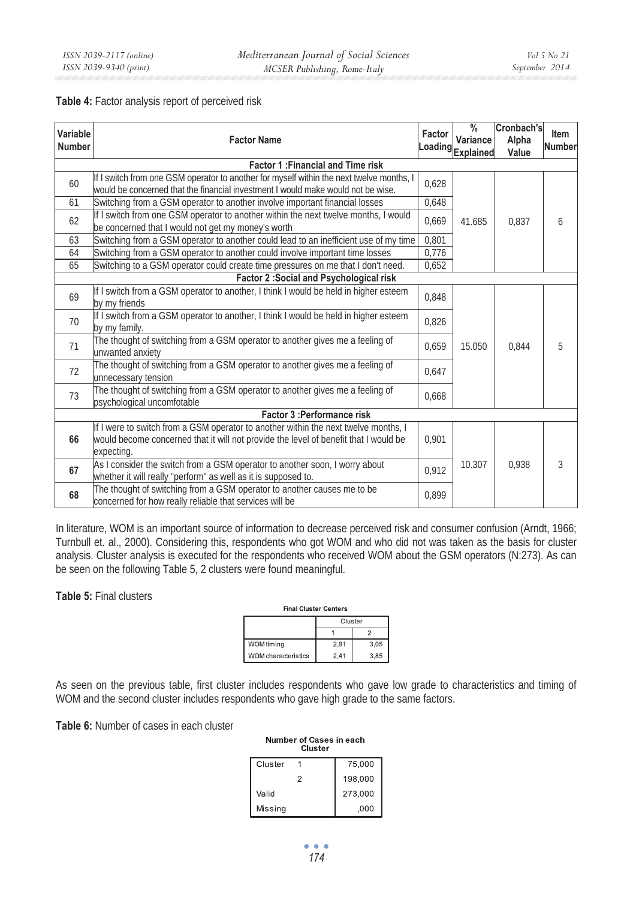|  |  |  | Table 4: Factor analysis report of perceived risk |
|--|--|--|---------------------------------------------------|
|--|--|--|---------------------------------------------------|

| Variable<br><b>Number</b>                | <b>Factor Name</b>                                                                                                                                                                        | Factor | $\frac{0}{0}$<br>Variance<br>Loading Explained | Cronbach's<br>Alpha<br>Value | Item<br>Number |  |  |
|------------------------------------------|-------------------------------------------------------------------------------------------------------------------------------------------------------------------------------------------|--------|------------------------------------------------|------------------------------|----------------|--|--|
| <b>Factor 1: Financial and Time risk</b> |                                                                                                                                                                                           |        |                                                |                              |                |  |  |
| 60                                       | If I switch from one GSM operator to another for myself within the next twelve months, I<br>would be concerned that the financial investment I would make would not be wise.              | 0.628  |                                                |                              |                |  |  |
| 61                                       | 0,648<br>Switching from a GSM operator to another involve important financial losses                                                                                                      |        |                                                |                              |                |  |  |
| 62                                       | If I switch from one GSM operator to another within the next twelve months, I would<br>be concerned that I would not get my money's worth                                                 | 0.669  | 41.685                                         | 0.837                        | 6              |  |  |
| 63                                       | Switching from a GSM operator to another could lead to an inefficient use of my time                                                                                                      | 0,801  |                                                |                              |                |  |  |
| 64                                       | Switching from a GSM operator to another could involve important time losses                                                                                                              | 0.776  |                                                |                              |                |  |  |
| 65                                       | Switching to a GSM operator could create time pressures on me that I don't need.                                                                                                          | 0,652  |                                                |                              |                |  |  |
|                                          | Factor 2: Social and Psychological risk                                                                                                                                                   |        |                                                |                              |                |  |  |
| 69                                       | If I switch from a GSM operator to another, I think I would be held in higher esteem<br>by my friends                                                                                     | 0,848  |                                                |                              |                |  |  |
| 70                                       | If I switch from a GSM operator to another, I think I would be held in higher esteem<br>by my family.                                                                                     | 0,826  |                                                |                              |                |  |  |
| 71                                       | The thought of switching from a GSM operator to another gives me a feeling of<br>unwanted anxiety                                                                                         | 0.659  | 15.050                                         | 0.844                        | 5              |  |  |
| 72                                       | The thought of switching from a GSM operator to another gives me a feeling of<br>unnecessary tension                                                                                      | 0.647  |                                                |                              |                |  |  |
| 73                                       | The thought of switching from a GSM operator to another gives me a feeling of<br>psychological uncomfotable                                                                               | 0,668  |                                                |                              |                |  |  |
| Factor 3 : Performance risk              |                                                                                                                                                                                           |        |                                                |                              |                |  |  |
| 66                                       | If I were to switch from a GSM operator to another within the next twelve months, I<br>would become concerned that it will not provide the level of benefit that I would be<br>expecting. | 0.901  |                                                |                              |                |  |  |
| 67                                       | As I consider the switch from a GSM operator to another soon, I worry about<br>whether it will really "perform" as well as it is supposed to.                                             | 0.912  | 10.307                                         | 0.938                        | 3              |  |  |
| 68                                       | The thought of switching from a GSM operator to another causes me to be<br>concerned for how really reliable that services will be                                                        | 0.899  |                                                |                              |                |  |  |

In literature, WOM is an important source of information to decrease perceived risk and consumer confusion (Arndt, 1966; Turnbull et. al., 2000). Considering this, respondents who got WOM and who did not was taken as the basis for cluster analysis. Cluster analysis is executed for the respondents who received WOM about the GSM operators (N:273). As can be seen on the following Table 5, 2 clusters were found meaningful.

## **Table 5:** Final clusters

| <b>Final Cluster Centers</b> |      |      |  |  |  |  |
|------------------------------|------|------|--|--|--|--|
| Cluster                      |      |      |  |  |  |  |
|                              |      |      |  |  |  |  |
| WOM timing                   | 2,91 | 3.05 |  |  |  |  |
| <b>WOM</b> characteristics   | 2.41 | 3,85 |  |  |  |  |

As seen on the previous table, first cluster includes respondents who gave low grade to characteristics and timing of WOM and the second cluster includes respondents who gave high grade to the same factors.

## **Table 6:** Number of cases in each cluster

| Number of Cases in each<br>Cluster |   |         |  |  |  |
|------------------------------------|---|---------|--|--|--|
| Cluster                            |   | 75,000  |  |  |  |
|                                    | 2 | 198,000 |  |  |  |
| Valid                              |   | 273,000 |  |  |  |
| Missing                            |   | .000    |  |  |  |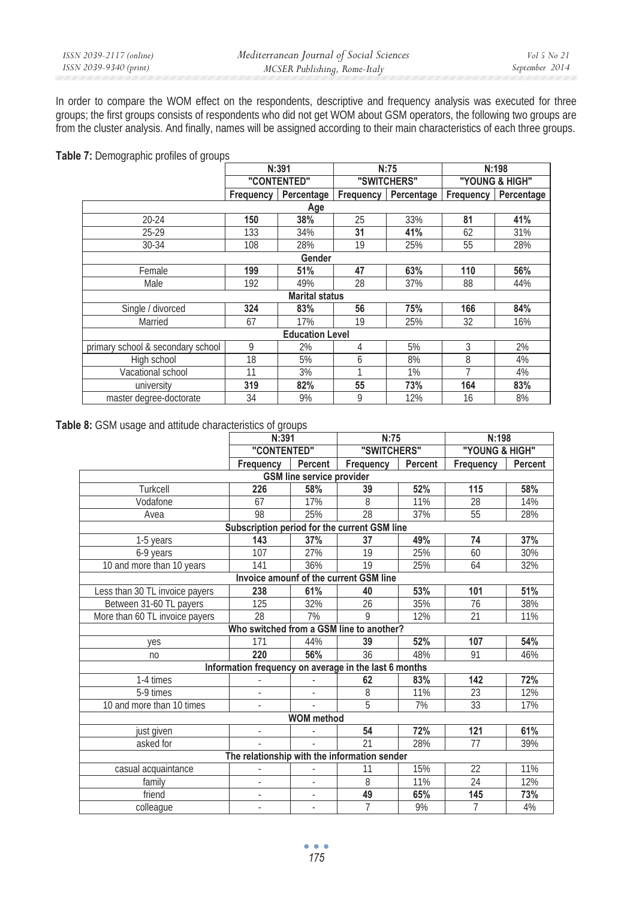In order to compare the WOM effect on the respondents, descriptive and frequency analysis was executed for three groups; the first groups consists of respondents who did not get WOM about GSM operators, the following two groups are from the cluster analysis. And finally, names will be assigned according to their main characteristics of each three groups.

**Table 7:** Demographic profiles of groups

|                                   | N:391       |                        | N:75                    |             | N:198          |            |
|-----------------------------------|-------------|------------------------|-------------------------|-------------|----------------|------------|
|                                   | "CONTENTED" |                        |                         | "SWITCHERS" | "YOUNG & HIGH" |            |
|                                   | Frequency   | Percentage             | Percentage<br>Frequency |             | Frequency      | Percentage |
|                                   | Age         |                        |                         |             |                |            |
| $20 - 24$                         | 150         | 38%                    | 25                      | 33%         | 81             | 41%        |
| 25-29                             | 133         | 34%                    | 31                      | 41%         | 62             | 31%        |
| 30-34                             | 108         | 28%                    | 19                      | 25%         | 55             | 28%        |
| Gender                            |             |                        |                         |             |                |            |
| Female                            | 199         | 51%                    | 47                      | 63%         | 110            | 56%        |
| Male                              | 192         | 28<br>49%<br>37%       |                         |             | 88             | 44%        |
|                                   |             | <b>Marital status</b>  |                         |             |                |            |
| Single / divorced                 | 324         | 83%                    | 56                      | 75%         | 166            | 84%        |
| Married                           | 67          | 17%                    | 19                      | 25%         | 32             | 16%        |
|                                   |             | <b>Education Level</b> |                         |             |                |            |
| primary school & secondary school | 9           | 2%                     | 4                       | 5%          | 3              | 2%         |
| High school                       | 18          | 5%                     | 6                       | 8%          | 8              | 4%         |
| Vacational school                 | 11          | 3%                     | 1                       | 1%          | $\overline{7}$ | 4%         |
| university                        | 319         | 82%                    | 55                      | 73%         | 164            | 83%        |
| master degree-doctorate           | 34          | 9%                     | 9                       | 12%         | 16             | 8%         |

**Table 8:** GSM usage and attitude characteristics of groups

|                                              | N:391<br>N:75                                         |                                  |                 |         | N:198          |         |  |  |
|----------------------------------------------|-------------------------------------------------------|----------------------------------|-----------------|---------|----------------|---------|--|--|
|                                              | "CONTENTED"                                           |                                  | "SWITCHERS"     |         | "YOUNG & HIGH" |         |  |  |
|                                              | Frequency                                             | Percent                          | Frequency       | Percent | Frequency      | Percent |  |  |
|                                              |                                                       | <b>GSM line service provider</b> |                 |         |                |         |  |  |
| Turkcell                                     | 226                                                   | 58%                              | 39              | 52%     | 115            | 58%     |  |  |
| Vodafone                                     | 67                                                    | 17%                              | 8               | 11%     | 28             | 14%     |  |  |
| Avea                                         | 98                                                    | 25%                              | $\overline{28}$ | 37%     | 55             | 28%     |  |  |
| Subscription period for the current GSM line |                                                       |                                  |                 |         |                |         |  |  |
| 1-5 years                                    | 143                                                   | 37%                              | 37              | 49%     | 74             | 37%     |  |  |
| 6-9 years                                    | 107                                                   | 27%                              | 19              | 25%     | 60             | 30%     |  |  |
| 10 and more than 10 years                    | 141                                                   | 36%                              | 19              | 25%     | 64             | 32%     |  |  |
| Invoice amounf of the current GSM line       |                                                       |                                  |                 |         |                |         |  |  |
| Less than 30 TL invoice payers               | 238                                                   | 61%                              | 40              | 53%     | 101            | 51%     |  |  |
| Between 31-60 TL payers                      | 125                                                   | 32%                              | 26              | 35%     | 76             | 38%     |  |  |
| More than 60 TL invoice payers               | 28                                                    | 7%                               | 9               | 12%     | 21             | 11%     |  |  |
|                                              | Who switched from a GSM line to another?              |                                  |                 |         |                |         |  |  |
| yes                                          | 171                                                   | 44%                              | 39              | 52%     | 107            | 54%     |  |  |
| n <sub>0</sub>                               | 220                                                   | 56%                              | 36              | 48%     | 91             | 46%     |  |  |
|                                              | Information frequency on average in the last 6 months |                                  |                 |         |                |         |  |  |
| 1-4 times                                    | ä,                                                    |                                  | 62              | 83%     | 142            | 72%     |  |  |
| 5-9 times                                    |                                                       |                                  | 8               | 11%     | 23             | 12%     |  |  |
| 10 and more than 10 times                    | ÷,                                                    |                                  | 5               | 7%      | 33             | 17%     |  |  |
| <b>WOM</b> method                            |                                                       |                                  |                 |         |                |         |  |  |
| just given                                   | $\blacksquare$                                        |                                  | 54              | 72%     | 121            | 61%     |  |  |
| asked for                                    |                                                       |                                  | 21              | 28%     | 77             | 39%     |  |  |
| The relationship with the information sender |                                                       |                                  |                 |         |                |         |  |  |
| casual acquaintance                          |                                                       |                                  | 11              | 15%     | 22             | 11%     |  |  |
| family                                       |                                                       |                                  | 8               | 11%     | 24             | 12%     |  |  |
| friend                                       |                                                       |                                  | 49              | 65%     | 145            | 73%     |  |  |
| colleague                                    |                                                       | $\overline{\phantom{a}}$         | $\overline{7}$  | 9%      | $\overline{7}$ | 4%      |  |  |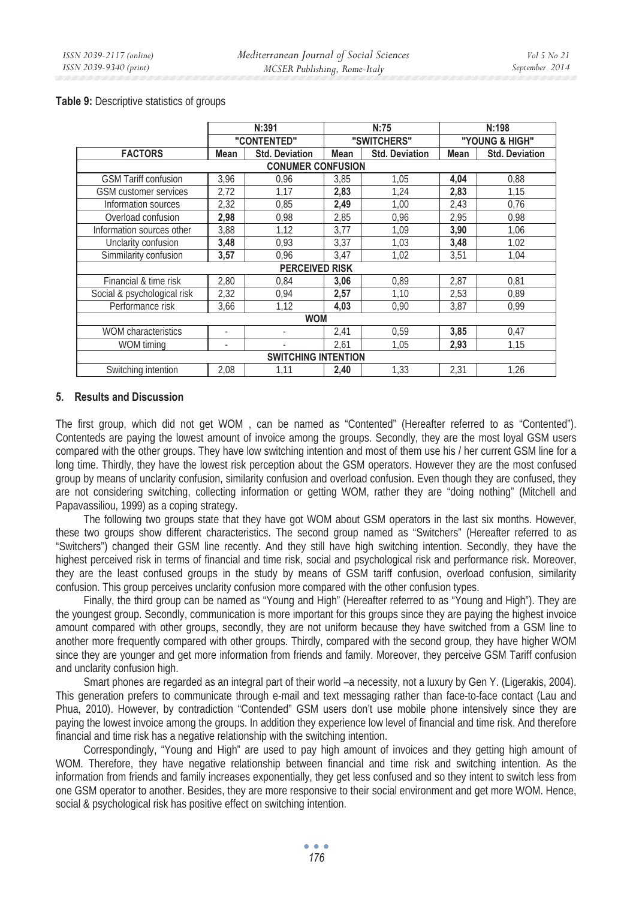| Table 9: Descriptive statistics of groups |  |
|-------------------------------------------|--|
|-------------------------------------------|--|

|                              |                                              | N:391                      | N:75                          |             | N:198 |                       |  |
|------------------------------|----------------------------------------------|----------------------------|-------------------------------|-------------|-------|-----------------------|--|
|                              |                                              | "CONTENTED"                |                               | "SWITCHERS" |       | "YOUNG & HIGH"        |  |
| <b>FACTORS</b>               | Mean                                         | <b>Std. Deviation</b>      | Mean<br><b>Std. Deviation</b> |             | Mean  | <b>Std. Deviation</b> |  |
|                              |                                              | <b>CONUMER CONFUSION</b>   |                               |             |       |                       |  |
| <b>GSM Tariff confusion</b>  | 3,96                                         | 0.96                       | 3,85                          | 1,05        | 4,04  | 0,88                  |  |
| <b>GSM</b> customer services | 2,72                                         | 1,17                       | 2,83                          | 1,24        | 2,83  | 1,15                  |  |
| Information sources          | 2,32                                         | 0,85                       | 2,49                          | 1,00        | 2,43  | 0,76                  |  |
| Overload confusion           | 2,98                                         | 0,98                       | 2,85                          | 0,96        | 2,95  | 0,98                  |  |
| Information sources other    | 3,88                                         | 1,12                       | 3,77                          | 1,09        | 3,90  | 1,06                  |  |
| Unclarity confusion          | 3,48                                         | 0.93                       | 3,37                          | 1,03        | 3,48  | 1,02                  |  |
| Simmilarity confusion        | 3,57                                         | 0.96                       | 3.47                          | 1,02        | 3,51  | 1,04                  |  |
|                              |                                              | <b>PERCEIVED RISK</b>      |                               |             |       |                       |  |
| Financial & time risk        | 2,80                                         | 0.84                       | 3,06                          | 0,89        | 2,87  | 0,81                  |  |
| Social & psychological risk  | 2,32                                         | 0,94                       | 2,57                          | 1,10        | 2,53  | 0,89                  |  |
| Performance risk             | 3,66                                         | 1,12                       | 4,03                          | 0,90        | 3,87  | 0,99                  |  |
| <b>WOM</b>                   |                                              |                            |                               |             |       |                       |  |
| <b>WOM characteristics</b>   | $\overline{\phantom{a}}$                     |                            | 2,41                          | 0,59        | 3,85  | 0,47                  |  |
| WOM timing                   | ÷,                                           |                            | 2,61                          | 1,05        | 2,93  | 1,15                  |  |
|                              |                                              | <b>SWITCHING INTENTION</b> |                               |             |       |                       |  |
| Switching intention          | 2,08<br>2,31<br>1.33<br>1,26<br>1,11<br>2,40 |                            |                               |             |       |                       |  |

### **5. Results and Discussion**

The first group, which did not get WOM , can be named as "Contented" (Hereafter referred to as "Contented"). Contenteds are paying the lowest amount of invoice among the groups. Secondly, they are the most loyal GSM users compared with the other groups. They have low switching intention and most of them use his / her current GSM line for a long time. Thirdly, they have the lowest risk perception about the GSM operators. However they are the most confused group by means of unclarity confusion, similarity confusion and overload confusion. Even though they are confused, they are not considering switching, collecting information or getting WOM, rather they are "doing nothing" (Mitchell and Papavassiliou, 1999) as a coping strategy.

The following two groups state that they have got WOM about GSM operators in the last six months. However, these two groups show different characteristics. The second group named as "Switchers" (Hereafter referred to as "Switchers") changed their GSM line recently. And they still have high switching intention. Secondly, they have the highest perceived risk in terms of financial and time risk, social and psychological risk and performance risk. Moreover, they are the least confused groups in the study by means of GSM tariff confusion, overload confusion, similarity confusion. This group perceives unclarity confusion more compared with the other confusion types.

Finally, the third group can be named as "Young and High" (Hereafter referred to as "Young and High"). They are the youngest group. Secondly, communication is more important for this groups since they are paying the highest invoice amount compared with other groups, secondly, they are not uniform because they have switched from a GSM line to another more frequently compared with other groups. Thirdly, compared with the second group, they have higher WOM since they are younger and get more information from friends and family. Moreover, they perceive GSM Tariff confusion and unclarity confusion high.

Smart phones are regarded as an integral part of their world –a necessity, not a luxury by Gen Y. (Ligerakis, 2004). This generation prefers to communicate through e-mail and text messaging rather than face-to-face contact (Lau and Phua, 2010). However, by contradiction "Contended" GSM users don't use mobile phone intensively since they are paying the lowest invoice among the groups. In addition they experience low level of financial and time risk. And therefore financial and time risk has a negative relationship with the switching intention.

Correspondingly, "Young and High" are used to pay high amount of invoices and they getting high amount of WOM. Therefore, they have negative relationship between financial and time risk and switching intention. As the information from friends and family increases exponentially, they get less confused and so they intent to switch less from one GSM operator to another. Besides, they are more responsive to their social environment and get more WOM. Hence, social & psychological risk has positive effect on switching intention.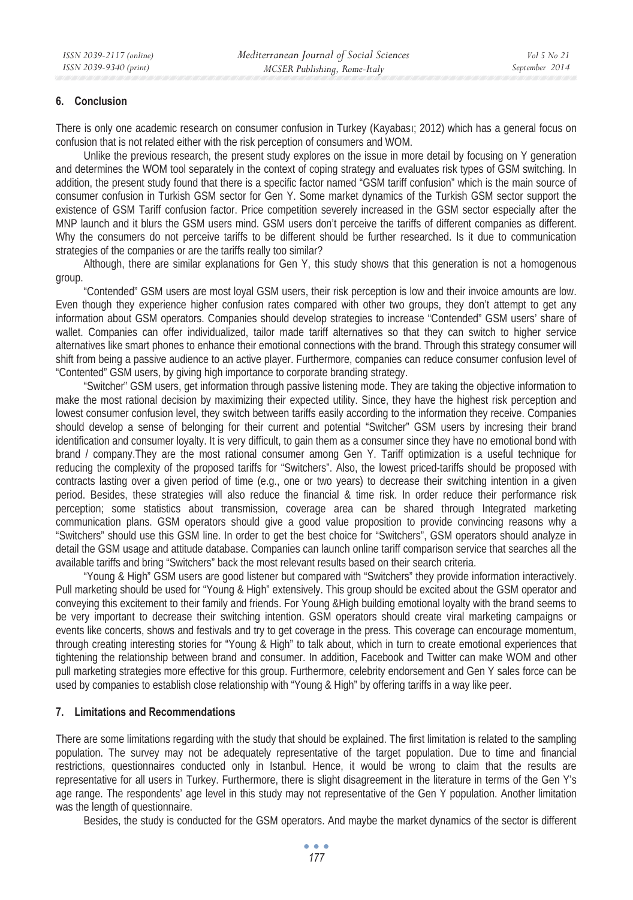### **6. Conclusion**

There is only one academic research on consumer confusion in Turkey (Kayabası; 2012) which has a general focus on confusion that is not related either with the risk perception of consumers and WOM.

Unlike the previous research, the present study explores on the issue in more detail by focusing on Y generation and determines the WOM tool separately in the context of coping strategy and evaluates risk types of GSM switching. In addition, the present study found that there is a specific factor named "GSM tariff confusion" which is the main source of consumer confusion in Turkish GSM sector for Gen Y. Some market dynamics of the Turkish GSM sector support the existence of GSM Tariff confusion factor. Price competition severely increased in the GSM sector especially after the MNP launch and it blurs the GSM users mind. GSM users don't perceive the tariffs of different companies as different. Why the consumers do not perceive tariffs to be different should be further researched. Is it due to communication strategies of the companies or are the tariffs really too similar?

Although, there are similar explanations for Gen Y, this study shows that this generation is not a homogenous group.

"Contended" GSM users are most loyal GSM users, their risk perception is low and their invoice amounts are low. Even though they experience higher confusion rates compared with other two groups, they don't attempt to get any information about GSM operators. Companies should develop strategies to increase "Contended" GSM users' share of wallet. Companies can offer individualized, tailor made tariff alternatives so that they can switch to higher service alternatives like smart phones to enhance their emotional connections with the brand. Through this strategy consumer will shift from being a passive audience to an active player. Furthermore, companies can reduce consumer confusion level of "Contented" GSM users, by giving high importance to corporate branding strategy.

"Switcher" GSM users, get information through passive listening mode. They are taking the objective information to make the most rational decision by maximizing their expected utility. Since, they have the highest risk perception and lowest consumer confusion level, they switch between tariffs easily according to the information they receive. Companies should develop a sense of belonging for their current and potential "Switcher" GSM users by incresing their brand identification and consumer loyalty. It is very difficult, to gain them as a consumer since they have no emotional bond with brand / company.They are the most rational consumer among Gen Y. Tariff optimization is a useful technique for reducing the complexity of the proposed tariffs for "Switchers". Also, the lowest priced-tariffs should be proposed with contracts lasting over a given period of time (e.g., one or two years) to decrease their switching intention in a given period. Besides, these strategies will also reduce the financial & time risk. In order reduce their performance risk perception; some statistics about transmission, coverage area can be shared through Integrated marketing communication plans. GSM operators should give a good value proposition to provide convincing reasons why a "Switchers" should use this GSM line. In order to get the best choice for "Switchers", GSM operators should analyze in detail the GSM usage and attitude database. Companies can launch online tariff comparison service that searches all the available tariffs and bring "Switchers" back the most relevant results based on their search criteria.

"Young & High" GSM users are good listener but compared with "Switchers" they provide information interactively. Pull marketing should be used for "Young & High" extensively. This group should be excited about the GSM operator and conveying this excitement to their family and friends. For Young &High building emotional loyalty with the brand seems to be very important to decrease their switching intention. GSM operators should create viral marketing campaigns or events like concerts, shows and festivals and try to get coverage in the press. This coverage can encourage momentum, through creating interesting stories for "Young & High" to talk about, which in turn to create emotional experiences that tightening the relationship between brand and consumer. In addition, Facebook and Twitter can make WOM and other pull marketing strategies more effective for this group. Furthermore, celebrity endorsement and Gen Y sales force can be used by companies to establish close relationship with "Young & High" by offering tariffs in a way like peer.

### **7. Limitations and Recommendations**

There are some limitations regarding with the study that should be explained. The first limitation is related to the sampling population. The survey may not be adequately representative of the target population. Due to time and financial restrictions, questionnaires conducted only in Istanbul. Hence, it would be wrong to claim that the results are representative for all users in Turkey. Furthermore, there is slight disagreement in the literature in terms of the Gen Y's age range. The respondents' age level in this study may not representative of the Gen Y population. Another limitation was the length of questionnaire.

Besides, the study is conducted for the GSM operators. And maybe the market dynamics of the sector is different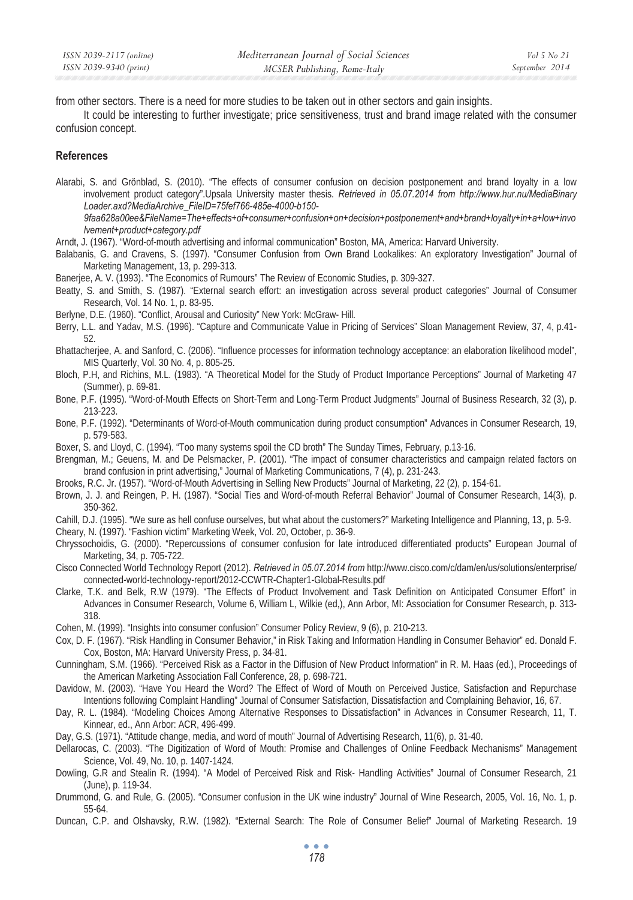from other sectors. There is a need for more studies to be taken out in other sectors and gain insights.

It could be interesting to further investigate; price sensitiveness, trust and brand image related with the consumer confusion concept.

### **References**

Alarabi, S. and Grönblad, S. (2010). "The effects of consumer confusion on decision postponement and brand loyalty in a low involvement product category".Upsala University master thesis. *Retrieved in 05.07.2014 from http://www.hur.nu/MediaBinary Loader.axd?MediaArchive\_FileID=75fef766-485e-4000-b150-*

*9faa628a00ee&FileName=The+effects+of+consumer+confusion+on+decision+postponement+and+brand+loyalty+in+a+low+invo lvement+product+category.pdf* 

Arndt, J. (1967). "Word-of-mouth advertising and informal communication" Boston, MA, America: Harvard University.

Balabanis, G. and Cravens, S. (1997). "Consumer Confusion from Own Brand Lookalikes: An exploratory Investigation" Journal of Marketing Management, 13, p. 299-313.

Banerjee, A. V. (1993). "The Economics of Rumours" The Review of Economic Studies, p. 309-327.

Beatty, S. and Smith, S. (1987). "External search effort: an investigation across several product categories" Journal of Consumer Research, Vol. 14 No. 1, p. 83-95.

Berlyne, D.E. (1960). "Conflict, Arousal and Curiosity" New York: McGraw- Hill.

- Berry, L.L. and Yadav, M.S. (1996). "Capture and Communicate Value in Pricing of Services" Sloan Management Review, 37, 4, p.41- 52.
- Bhattacherjee, A. and Sanford, C. (2006). "Influence processes for information technology acceptance: an elaboration likelihood model", MIS Quarterly, Vol. 30 No. 4, p. 805-25.
- Bloch, P.H, and Richins, M.L. (1983). "A Theoretical Model for the Study of Product Importance Perceptions" Journal of Marketing 47 (Summer), p. 69-81.
- Bone, P.F. (1995). "Word-of-Mouth Effects on Short-Term and Long-Term Product Judgments" Journal of Business Research, 32 (3), p. 213-223.
- Bone, P.F. (1992). "Determinants of Word-of-Mouth communication during product consumption" Advances in Consumer Research, 19, p. 579-583.
- Boxer, S. and Lloyd, C. (1994). "Too many systems spoil the CD broth" The Sunday Times, February, p.13-16.
- Brengman, M.; Geuens, M. and De Pelsmacker, P. (2001). "The impact of consumer characteristics and campaign related factors on brand confusion in print advertising," Journal of Marketing Communications, 7 (4), p. 231-243.
- Brooks, R.C. Jr. (1957). "Word-of-Mouth Advertising in Selling New Products" Journal of Marketing, 22 (2), p. 154-61.
- Brown, J. J. and Reingen, P. H. (1987). "Social Ties and Word-of-mouth Referral Behavior" Journal of Consumer Research, 14(3), p. 350-362.
- Cahill, D.J. (1995). "We sure as hell confuse ourselves, but what about the customers?" Marketing Intelligence and Planning, 13, p. 5-9.

Cheary, N. (1997). "Fashion victim" Marketing Week, Vol. 20, October, p. 36-9.

- Chryssochoidis, G. (2000). "Repercussions of consumer confusion for late introduced differentiated products" European Journal of Marketing, 34, p. 705-722.
- Cisco Connected World Technology Report (2012). *Retrieved in 05.07.2014 from* http://www.cisco.com/c/dam/en/us/solutions/enterprise/ connected-world-technology-report/2012-CCWTR-Chapter1-Global-Results.pdf
- Clarke, T.K. and Belk, R.W (1979). "The Effects of Product Involvement and Task Definition on Anticipated Consumer Effort" in Advances in Consumer Research, Volume 6, William L, Wilkie (ed,), Ann Arbor, MI: Association for Consumer Research, p. 313- 318.
- Cohen, M. (1999). "Insights into consumer confusion" Consumer Policy Review, 9 (6), p. 210-213.
- Cox, D. F. (1967). "Risk Handling in Consumer Behavior," in Risk Taking and Information Handling in Consumer Behavior" ed. Donald F. Cox, Boston, MA: Harvard University Press, p. 34-81.
- Cunningham, S.M. (1966). "Perceived Risk as a Factor in the Diffusion of New Product Information" in R. M. Haas (ed.), Proceedings of the American Marketing Association Fall Conference, 28, p. 698-721.
- Davidow, M. (2003). "Have You Heard the Word? The Effect of Word of Mouth on Perceived Justice, Satisfaction and Repurchase Intentions following Complaint Handling" Journal of Consumer Satisfaction, Dissatisfaction and Complaining Behavior, 16, 67.
- Day, R. L. (1984). "Modeling Choices Among Alternative Responses to Dissatisfaction" in Advances in Consumer Research, 11, T. Kinnear, ed., Ann Arbor: ACR, 496-499.
- Day, G.S. (1971). "Attitude change, media, and word of mouth" Journal of Advertising Research, 11(6), p. 31-40.
- Dellarocas, C. (2003). "The Digitization of Word of Mouth: Promise and Challenges of Online Feedback Mechanisms" Management Science, Vol. 49, No. 10, p. 1407-1424.
- Dowling, G.R and Stealin R. (1994). "A Model of Perceived Risk and Risk- Handling Activities" Journal of Consumer Research, 21 (June), p. 119-34.
- Drummond, G. and Rule, G. (2005). "Consumer confusion in the UK wine industry" Journal of Wine Research, 2005, Vol. 16, No. 1, p. 55-64.
- Duncan, C.P. and Olshavsky, R.W. (1982). "External Search: The Role of Consumer Belief" Journal of Marketing Research. 19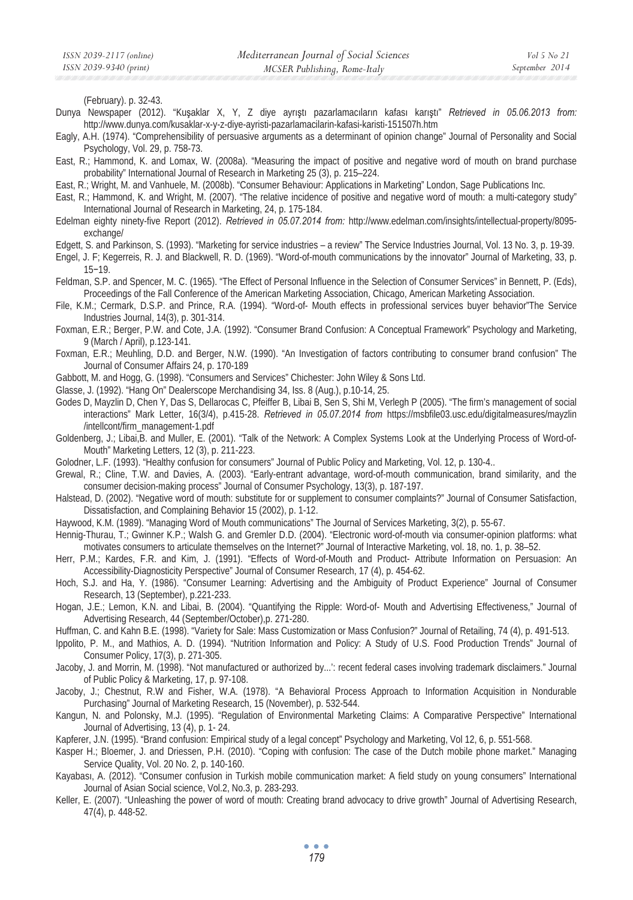(February). p. 32-43.

- Dunya Newspaper (2012). "Kuşaklar X, Y, Z diye ayrıştı pazarlamacıların kafası karıştı" Retrieved in 05.06.2013 from: http://www.dunya.com/kusaklar-x-y-z-diye-ayristi-pazarlamacilarin-kafasi-karisti-151507h.htm
- Eagly, A.H. (1974). "Comprehensibility of persuasive arguments as a determinant of opinion change" Journal of Personality and Social Psychology, Vol. 29, p. 758-73.
- East, R.; Hammond, K. and Lomax, W. (2008a). "Measuring the impact of positive and negative word of mouth on brand purchase probability" International Journal of Research in Marketing 25 (3), p. 215–224.
- East, R.; Wright, M. and Vanhuele, M. (2008b). "Consumer Behaviour: Applications in Marketing" London, Sage Publications Inc.
- East, R.; Hammond, K. and Wright, M. (2007). "The relative incidence of positive and negative word of mouth: a multi-category study" International Journal of Research in Marketing, 24, p. 175-184.
- Edelman eighty ninety-five Report (2012). *Retrieved in 05.07.2014 from:* http://www.edelman.com/insights/intellectual-property/8095 exchange/
- Edgett, S. and Parkinson, S. (1993). "Marketing for service industries a review" The Service Industries Journal, Vol. 13 No. 3, p. 19-39.
- Engel, J. F; Kegerreis, R. J. and Blackwell, R. D. (1969). "Word-of-mouth communications by the innovator" Journal of Marketing, 33, p.  $15 - 19$ .
- Feldman, S.P. and Spencer, M. C. (1965). "The Effect of Personal Influence in the Selection of Consumer Services" in Bennett, P. (Eds), Proceedings of the Fall Conference of the American Marketing Association, Chicago, American Marketing Association.
- File, K.M.; Cermark, D.S.P. and Prince, R.A. (1994). "Word-of- Mouth effects in professional services buyer behavior"The Service Industries Journal, 14(3), p. 301-314.
- Foxman, E.R.; Berger, P.W. and Cote, J.A. (1992). "Consumer Brand Confusion: A Conceptual Framework" Psychology and Marketing, 9 (March / April), p.123-141.
- Foxman, E.R.; Meuhling, D.D. and Berger, N.W. (1990). "An Investigation of factors contributing to consumer brand confusion" The Journal of Consumer Affairs 24, p. 170-189
- Gabbott, M. and Hogg, G. (1998). "Consumers and Services" Chichester: John Wiley & Sons Ltd.
- Glasse, J. (1992). "Hang On" Dealerscope Merchandising 34, Iss. 8 (Aug.), p.10-14, 25.
- Godes D, Mayzlin D, Chen Y, Das S, Dellarocas C, Pfeiffer B, Libai B, Sen S, Shi M, Verlegh P (2005). "The firm's management of social interactions" Mark Letter, 16(3/4), p.415-28. *Retrieved in 05.07.2014 from* https://msbfile03.usc.edu/digitalmeasures/mayzlin /intellcont/firm\_management-1.pdf
- Goldenberg, J.; Libai,B. and Muller, E. (2001). "Talk of the Network: A Complex Systems Look at the Underlying Process of Word-of-Mouth" Marketing Letters, 12 (3), p. 211-223.
- Golodner, L.F. (1993). "Healthy confusion for consumers" Journal of Public Policy and Marketing, Vol. 12, p. 130-4..
- Grewal, R.; Cline, T.W. and Davies, A. (2003). "Early-entrant advantage, word-of-mouth communication, brand similarity, and the consumer decision-making process" Journal of Consumer Psychology, 13(3), p. 187-197.
- Halstead, D. (2002). "Negative word of mouth: substitute for or supplement to consumer complaints?" Journal of Consumer Satisfaction, Dissatisfaction, and Complaining Behavior 15 (2002), p. 1-12.
- Haywood, K.M. (1989). "Managing Word of Mouth communications" The Journal of Services Marketing, 3(2), p. 55-67.
- Hennig-Thurau, T.; Gwinner K.P.; Walsh G. and Gremler D.D. (2004). "Electronic word-of-mouth via consumer-opinion platforms: what motivates consumers to articulate themselves on the Internet?" Journal of Interactive Marketing, vol. 18, no. 1, p. 38–52.
- Herr, P.M.; Kardes, F.R. and Kim, J. (1991). "Effects of Word-of-Mouth and Product- Attribute Information on Persuasion: An Accessibility-Diagnosticity Perspective" Journal of Consumer Research, 17 (4), p. 454-62.
- Hoch, S.J. and Ha, Y. (1986). "Consumer Learning: Advertising and the Ambiguity of Product Experience" Journal of Consumer Research, 13 (September), p.221-233.
- Hogan, J.E.; Lemon, K.N. and Libai, B. (2004). "Quantifying the Ripple: Word-of- Mouth and Advertising Effectiveness," Journal of Advertising Research, 44 (September/October),p. 271-280.
- Huffman, C. and Kahn B.E. (1998). "Variety for Sale: Mass Customization or Mass Confusion?" Journal of Retailing, 74 (4), p. 491-513.
- Ippolito, P. M., and Mathios, A. D. (1994). "Nutrition Information and Policy: A Study of U.S. Food Production Trends" Journal of Consumer Policy, 17(3), p. 271-305.
- Jacoby, J. and Morrin, M. (1998). "Not manufactured or authorized by...': recent federal cases involving trademark disclaimers." Journal of Public Policy & Marketing, 17, p. 97-108.
- Jacoby, J.; Chestnut, R.W and Fisher, W.A. (1978). "A Behavioral Process Approach to Information Acquisition in Nondurable Purchasing" Journal of Marketing Research, 15 (November), p. 532-544.
- Kangun, N. and Polonsky, M.J. (1995). "Regulation of Environmental Marketing Claims: A Comparative Perspective" International Journal of Advertising, 13 (4), p. 1- 24.
- Kapferer, J.N. (1995). "Brand confusion: Empirical study of a legal concept" Psychology and Marketing, Vol 12, 6, p. 551-568.
- Kasper H.; Bloemer, J. and Driessen, P.H. (2010). "Coping with confusion: The case of the Dutch mobile phone market." Managing Service Quality, Vol. 20 No. 2, p. 140-160.
- Kayabası, A. (2012). "Consumer confusion in Turkish mobile communication market: A field study on young consumers" International Journal of Asian Social science, Vol.2, No.3, p. 283-293.
- Keller, E. (2007). "Unleashing the power of word of mouth: Creating brand advocacy to drive growth" Journal of Advertising Research, 47(4), p. 448-52.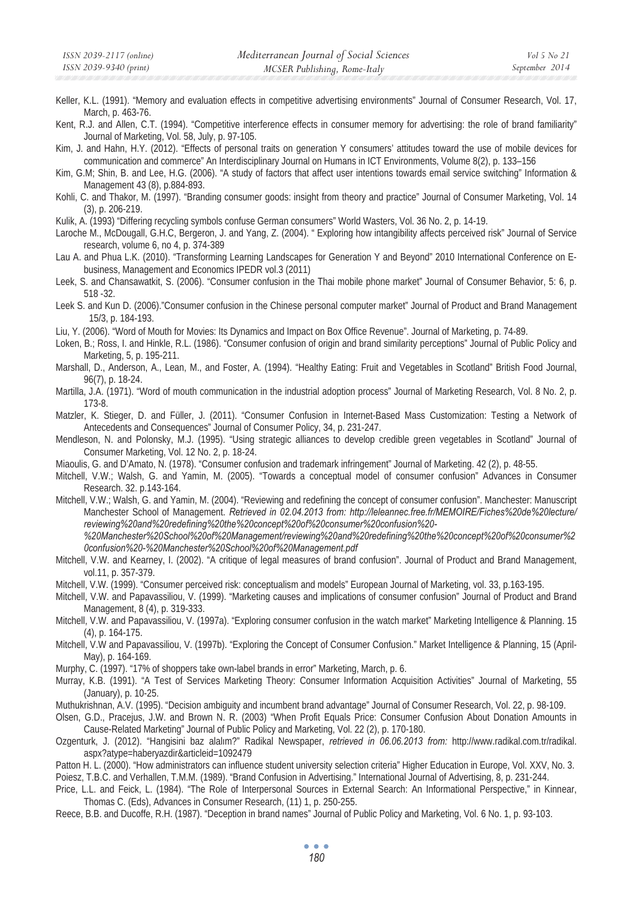- Keller, K.L. (1991). "Memory and evaluation effects in competitive advertising environments" Journal of Consumer Research, Vol. 17, March, p. 463-76.
- Kent, R.J. and Allen, C.T. (1994). "Competitive interference effects in consumer memory for advertising: the role of brand familiarity" Journal of Marketing, Vol. 58, July, p. 97-105.
- Kim, J. and Hahn, H.Y. (2012). "Effects of personal traits on generation Y consumers' attitudes toward the use of mobile devices for communication and commerce" An Interdisciplinary Journal on Humans in ICT Environments, Volume 8(2), p. 133–156
- Kim, G.M; Shin, B. and Lee, H.G. (2006). "A study of factors that affect user intentions towards email service switching" Information & Management 43 (8), p.884-893.
- Kohli, C. and Thakor, M. (1997). "Branding consumer goods: insight from theory and practice" Journal of Consumer Marketing, Vol. 14 (3), p. 206-219.
- Kulik, A. (1993) "Differing recycling symbols confuse German consumers" World Wasters, Vol. 36 No. 2, p. 14-19.
- Laroche M., McDougall, G.H.C, Bergeron, J. and Yang, Z. (2004). " Exploring how intangibility affects perceived risk" Journal of Service research, volume 6, no 4, p. 374-389
- Lau A. and Phua L.K. (2010). "Transforming Learning Landscapes for Generation Y and Beyond" 2010 International Conference on Ebusiness, Management and Economics IPEDR vol.3 (2011)
- Leek, S. and Chansawatkit, S. (2006). "Consumer confusion in the Thai mobile phone market" Journal of Consumer Behavior, 5: 6, p. 518 -32.
- Leek S. and Kun D. (2006)."Consumer confusion in the Chinese personal computer market" Journal of Product and Brand Management 15/3, p. 184-193.
- Liu, Y. (2006). "Word of Mouth for Movies: Its Dynamics and Impact on Box Office Revenue". Journal of Marketing, p. 74-89.
- Loken, B.; Ross, I. and Hinkle, R.L. (1986). "Consumer confusion of origin and brand similarity perceptions" Journal of Public Policy and Marketing, 5, p. 195-211.
- Marshall, D., Anderson, A., Lean, M., and Foster, A. (1994). "Healthy Eating: Fruit and Vegetables in Scotland" British Food Journal, 96(7), p. 18-24.
- Martilla, J.A. (1971). "Word of mouth communication in the industrial adoption process" Journal of Marketing Research, Vol. 8 No. 2, p. 173-8.
- Matzler, K. Stieger, D. and Füller, J. (2011). "Consumer Confusion in Internet-Based Mass Customization: Testing a Network of Antecedents and Consequences" Journal of Consumer Policy, 34, p. 231-247.
- Mendleson, N. and Polonsky, M.J. (1995). "Using strategic alliances to develop credible green vegetables in Scotland" Journal of Consumer Marketing, Vol. 12 No. 2, p. 18-24.
- Miaoulis, G. and D'Amato, N. (1978). "Consumer confusion and trademark infringement" Journal of Marketing. 42 (2), p. 48-55.
- Mitchell, V.W.; Walsh, G. and Yamin, M. (2005). "Towards a conceptual model of consumer confusion" Advances in Consumer Research. 32. p.143-164.
- Mitchell, V.W.; Walsh, G. and Yamin, M. (2004). "Reviewing and redefining the concept of consumer confusion". Manchester: Manuscript Manchester School of Management. *Retrieved in 02.04.2013 from: http://leleannec.free.fr/MEMOIRE/Fiches%20de%20lecture/ reviewing%20and%20redefining%20the%20concept%20of%20consumer%20confusion%20-*

*%20Manchester%20School%20of%20Management/reviewing%20and%20redefining%20the%20concept%20of%20consumer%2 0confusion%20-%20Manchester%20School%20of%20Management.pdf*

- Mitchell, V.W. and Kearney, I. (2002). "A critique of legal measures of brand confusion". Journal of Product and Brand Management, vol.11, p. 357-379.
- Mitchell, V.W. (1999). "Consumer perceived risk: conceptualism and models" European Journal of Marketing, vol. 33, p.163-195.
- Mitchell, V.W. and Papavassiliou, V. (1999). "Marketing causes and implications of consumer confusion" Journal of Product and Brand Management, 8 (4), p. 319-333.
- Mitchell, V.W. and Papavassiliou, V. (1997a). "Exploring consumer confusion in the watch market" Marketing Intelligence & Planning. 15 (4), p. 164-175.
- Mitchell, V.W and Papavassiliou, V. (1997b). "Exploring the Concept of Consumer Confusion." Market Intelligence & Planning, 15 (April-May), p. 164-169.
- Murphy, C. (1997). "17% of shoppers take own-label brands in error" Marketing, March, p. 6.
- Murray, K.B. (1991). "A Test of Services Marketing Theory: Consumer Information Acquisition Activities" Journal of Marketing, 55 (January), p. 10-25.
- Muthukrishnan, A.V. (1995). "Decision ambiguity and incumbent brand advantage" Journal of Consumer Research, Vol. 22, p. 98-109.
- Olsen, G.D., Pracejus, J.W. and Brown N. R. (2003) "When Profit Equals Price: Consumer Confusion About Donation Amounts in Cause-Related Marketing" Journal of Public Policy and Marketing, Vol. 22 (2), p. 170-180.
- Ozgenturk, J. (2012). "Hangisini baz alalım?" Radikal Newspaper, *retrieved in 06.06.2013 from:* http://www.radikal.com.tr/radikal. aspx?atype=haberyazdir&articleid=1092479
- Patton H. L. (2000). "How administrators can influence student university selection criteria" Higher Education in Europe, Vol. XXV, No. 3. Poiesz, T.B.C. and Verhallen, T.M.M. (1989). "Brand Confusion in Advertising." International Journal of Advertising, 8, p. 231-244.
- Price, L.L. and Feick, L. (1984). "The Role of Interpersonal Sources in External Search: An Informational Perspective," in Kinnear, Thomas C. (Eds), Advances in Consumer Research, (11) 1, p. 250-255.
- Reece, B.B. and Ducoffe, R.H. (1987). "Deception in brand names" Journal of Public Policy and Marketing, Vol. 6 No. 1, p. 93-103.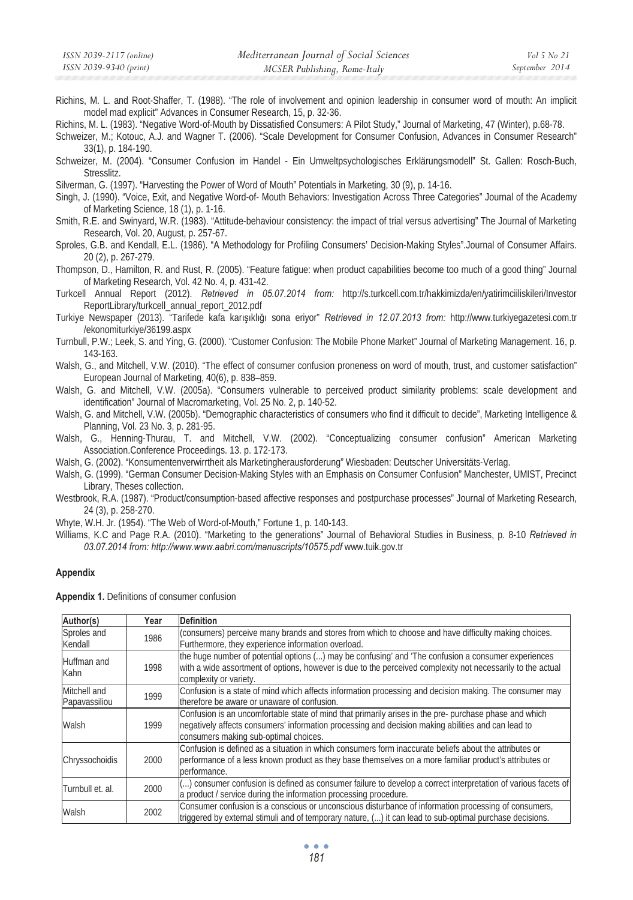- Richins, M. L. and Root-Shaffer, T. (1988). "The role of involvement and opinion leadership in consumer word of mouth: An implicit model mad explicit" Advances in Consumer Research, 15, p. 32-36.
- Richins, M. L. (1983). "Negative Word-of-Mouth by Dissatisfied Consumers: A Pilot Study," Journal of Marketing, 47 (Winter), p.68-78.

Schweizer, M.; Kotouc, A.J. and Wagner T. (2006). "Scale Development for Consumer Confusion, Advances in Consumer Research" 33(1), p. 184-190.

- Schweizer, M. (2004). "Consumer Confusion im Handel Ein Umweltpsychologisches Erklärungsmodell" St. Gallen: Rosch-Buch, Stresslitz.
- Silverman, G. (1997). "Harvesting the Power of Word of Mouth" Potentials in Marketing, 30 (9), p. 14-16.
- Singh, J. (1990). "Voice, Exit, and Negative Word-of- Mouth Behaviors: Investigation Across Three Categories" Journal of the Academy of Marketing Science, 18 (1), p. 1-16.
- Smith, R.E. and Swinyard, W.R. (1983). "Attitude-behaviour consistency: the impact of trial versus advertising" The Journal of Marketing Research, Vol. 20, August, p. 257-67.
- Sproles, G.B. and Kendall, E.L. (1986). "A Methodology for Profiling Consumers' Decision-Making Styles".Journal of Consumer Affairs. 20 (2), p. 267-279.

Thompson, D., Hamilton, R. and Rust, R. (2005). "Feature fatigue: when product capabilities become too much of a good thing" Journal of Marketing Research, Vol. 42 No. 4, p. 431-42.

- Turkcell Annual Report (2012). *Retrieved in 05.07.2014 from:* http://s.turkcell.com.tr/hakkimizda/en/yatirimciiliskileri/Investor ReportLibrary/turkcell\_annual\_report\_2012.pdf
- Turkiye Newspaper (2013). "Tarifede kafa karısıklığı sona eriyor" *Retrieved in 12.07.2013 from:* http://www.turkiyegazetesi.com.tr /ekonomiturkiye/36199.aspx
- Turnbull, P.W.; Leek, S. and Ying, G. (2000). "Customer Confusion: The Mobile Phone Market" Journal of Marketing Management. 16, p. 143-163.
- Walsh, G., and Mitchell, V.W. (2010). "The effect of consumer confusion proneness on word of mouth, trust, and customer satisfaction" European Journal of Marketing, 40(6), p. 838–859.
- Walsh, G. and Mitchell, V.W. (2005a). "Consumers vulnerable to perceived product similarity problems: scale development and identification" Journal of Macromarketing, Vol. 25 No. 2, p. 140-52.
- Walsh, G. and Mitchell, V.W. (2005b). "Demographic characteristics of consumers who find it difficult to decide", Marketing Intelligence & Planning, Vol. 23 No. 3, p. 281-95.
- Walsh, G., Henning-Thurau, T. and Mitchell, V.W. (2002). "Conceptualizing consumer confusion" American Marketing Association.Conference Proceedings. 13. p. 172-173.
- Walsh, G. (2002). "Konsumentenverwirrtheit als Marketingherausforderung" Wiesbaden: Deutscher Universitäts-Verlag.
- Walsh, G. (1999). "German Consumer Decision-Making Styles with an Emphasis on Consumer Confusion" Manchester, UMIST, Precinct Library, Theses collection.
- Westbrook, R.A. (1987). "Product/consumption-based affective responses and postpurchase processes" Journal of Marketing Research, 24 (3), p. 258-270.
- Whyte, W.H. Jr. (1954). "The Web of Word-of-Mouth," Fortune 1, p. 140-143.
- Williams, K.C and Page R.A. (2010). "Marketing to the generations" Journal of Behavioral Studies in Business, p. 8-10 *Retrieved in 03.07.2014 from: http://www.www.aabri.com/manuscripts/10575.pdf* www.tuik.gov.tr

#### **Appendix**

**Appendix 1.** Definitions of consumer confusion

| Author(s)                     | Year | <b>Definition</b>                                                                                                                                                                                                                                     |
|-------------------------------|------|-------------------------------------------------------------------------------------------------------------------------------------------------------------------------------------------------------------------------------------------------------|
| Sproles and<br>Kendall        | 1986 | (consumers) perceive many brands and stores from which to choose and have difficulty making choices.<br>Furthermore, they experience information overload.                                                                                            |
| Huffman and<br>Kahn           | 1998 | the huge number of potential options () may be confusing and 'The confusion a consumer experiences<br>with a wide assortment of options, however is due to the perceived complexity not necessarily to the actual<br>complexity or variety.           |
| Mitchell and<br>Papavassiliou | 1999 | Confusion is a state of mind which affects information processing and decision making. The consumer may<br>therefore be aware or unaware of confusion.                                                                                                |
| Walsh                         | 1999 | Confusion is an uncomfortable state of mind that primarily arises in the pre- purchase phase and which<br>negatively affects consumers' information processing and decision making abilities and can lead to<br>consumers making sub-optimal choices. |
| Chryssochoidis                | 2000 | Confusion is defined as a situation in which consumers form inaccurate beliefs about the attributes or<br>performance of a less known product as they base themselves on a more familiar product's attributes or<br>performance.                      |
| Turnbull et. al.              | 2000 | () consumer confusion is defined as consumer failure to develop a correct interpretation of various facets of<br>a product / service during the information processing procedure.                                                                     |
| Walsh                         | 2002 | Consumer confusion is a conscious or unconscious disturbance of information processing of consumers,<br>triggered by external stimuli and of temporary nature, () it can lead to sub-optimal purchase decisions.                                      |